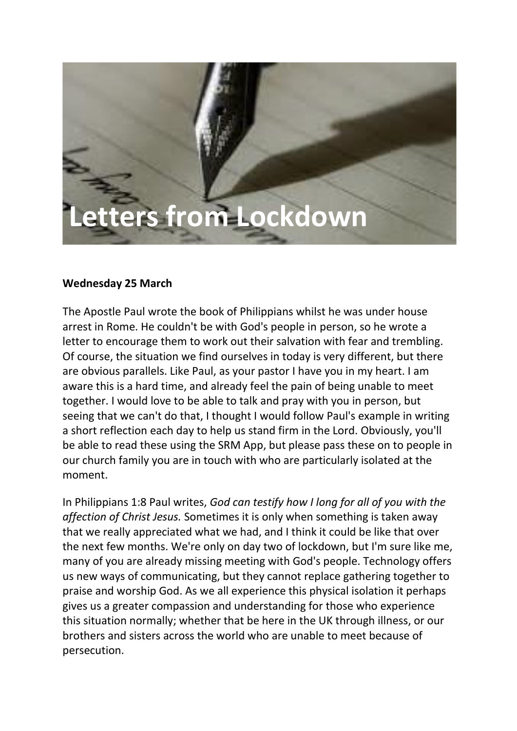# **Letters from Lockdown**

# **Wednesday 25 March**

The Apostle Paul wrote the book of Philippians whilst he was under house arrest in Rome. He couldn't be with God's people in person, so he wrote a letter to encourage them to work out their salvation with fear and trembling. Of course, the situation we find ourselves in today is very different, but there are obvious parallels. Like Paul, as your pastor I have you in my heart. I am aware this is a hard time, and already feel the pain of being unable to meet together. I would love to be able to talk and pray with you in person, but seeing that we can't do that, I thought I would follow Paul's example in writing a short reflection each day to help us stand firm in the Lord. Obviously, you'll be able to read these using the SRM App, but please pass these on to people in our church family you are in touch with who are particularly isolated at the moment.

In Philippians 1:8 Paul writes, *God can testify how I long for all of you with the affection of Christ Jesus.* Sometimes it is only when something is taken away that we really appreciated what we had, and I think it could be like that over the next few months. We're only on day two of lockdown, but I'm sure like me, many of you are already missing meeting with God's people. Technology offers us new ways of communicating, but they cannot replace gathering together to praise and worship God. As we all experience this physical isolation it perhaps gives us a greater compassion and understanding for those who experience this situation normally; whether that be here in the UK through illness, or our brothers and sisters across the world who are unable to meet because of persecution.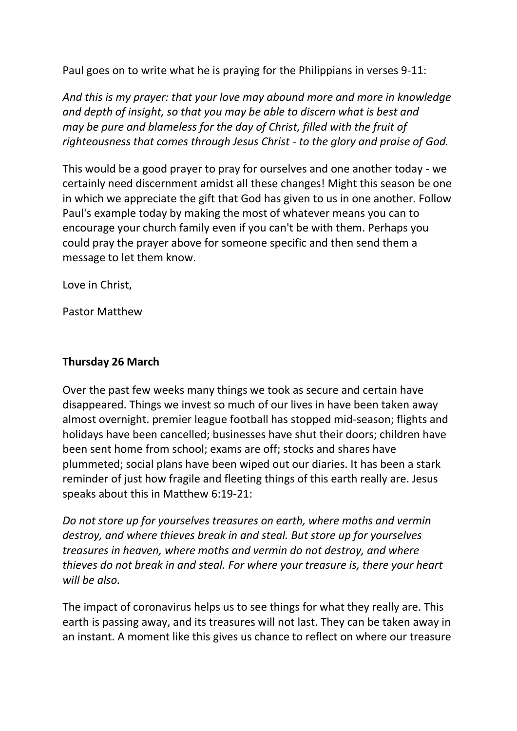Paul goes on to write what he is praying for the Philippians in verses 9-11:

*And this is my prayer: that your love may abound more and more in knowledge and depth of insight, so that you may be able to discern what is best and may be pure and blameless for the day of Christ, filled with the fruit of righteousness that comes through Jesus Christ - to the glory and praise of God.*

This would be a good prayer to pray for ourselves and one another today - we certainly need discernment amidst all these changes! Might this season be one in which we appreciate the gift that God has given to us in one another. Follow Paul's example today by making the most of whatever means you can to encourage your church family even if you can't be with them. Perhaps you could pray the prayer above for someone specific and then send them a message to let them know.

Love in Christ,

Pastor Matthew

### **Thursday 26 March**

Over the past few weeks many things we took as secure and certain have disappeared. Things we invest so much of our lives in have been taken away almost overnight. premier league football has stopped mid-season; flights and holidays have been cancelled; businesses have shut their doors; children have been sent home from school; exams are off; stocks and shares have plummeted; social plans have been wiped out our diaries. It has been a stark reminder of just how fragile and fleeting things of this earth really are. Jesus speaks about this in Matthew 6:19-21:

*Do not store up for yourselves treasures on earth, where moths and vermin destroy, and where thieves break in and steal. But store up for yourselves treasures in heaven, where moths and vermin do not destroy, and where thieves do not break in and steal. For where your treasure is, there your heart will be also.*

The impact of coronavirus helps us to see things for what they really are. This earth is passing away, and its treasures will not last. They can be taken away in an instant. A moment like this gives us chance to reflect on where our treasure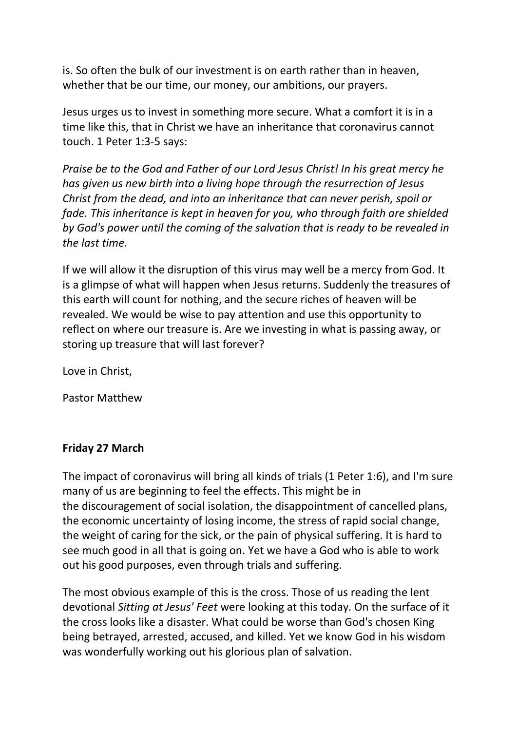is. So often the bulk of our investment is on earth rather than in heaven, whether that be our time, our money, our ambitions, our prayers.

Jesus urges us to invest in something more secure. What a comfort it is in a time like this, that in Christ we have an inheritance that coronavirus cannot touch. 1 Peter 1:3-5 says:

*Praise be to the God and Father of our Lord Jesus Christ! In his great mercy he has given us new birth into a living hope through the resurrection of Jesus Christ from the dead, and into an inheritance that can never perish, spoil or fade. This inheritance is kept in heaven for you, who through faith are shielded by God's power until the coming of the salvation that is ready to be revealed in the last time.*

If we will allow it the disruption of this virus may well be a mercy from God. It is a glimpse of what will happen when Jesus returns. Suddenly the treasures of this earth will count for nothing, and the secure riches of heaven will be revealed. We would be wise to pay attention and use this opportunity to reflect on where our treasure is. Are we investing in what is passing away, or storing up treasure that will last forever?

Love in Christ,

Pastor Matthew

# **Friday 27 March**

The impact of coronavirus will bring all kinds of trials (1 Peter 1:6), and I'm sure many of us are beginning to feel the effects. This might be in the discouragement of social isolation, the disappointment of cancelled plans, the economic uncertainty of losing income, the stress of rapid social change, the weight of caring for the sick, or the pain of physical suffering. It is hard to see much good in all that is going on. Yet we have a God who is able to work out his good purposes, even through trials and suffering.

The most obvious example of this is the cross. Those of us reading the lent devotional *Sitting at Jesus' Feet* were looking at this today. On the surface of it the cross looks like a disaster. What could be worse than God's chosen King being betrayed, arrested, accused, and killed. Yet we know God in his wisdom was wonderfully working out his glorious plan of salvation.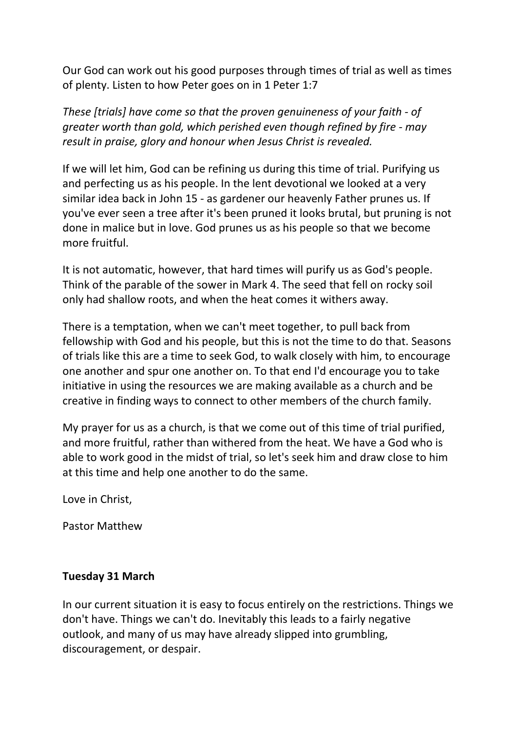Our God can work out his good purposes through times of trial as well as times of plenty. Listen to how Peter goes on in 1 Peter 1:7

*These [trials] have come so that the proven genuineness of your faith - of greater worth than gold, which perished even though refined by fire - may result in praise, glory and honour when Jesus Christ is revealed.*

If we will let him, God can be refining us during this time of trial. Purifying us and perfecting us as his people. In the lent devotional we looked at a very similar idea back in John 15 - as gardener our heavenly Father prunes us. If you've ever seen a tree after it's been pruned it looks brutal, but pruning is not done in malice but in love. God prunes us as his people so that we become more fruitful.

It is not automatic, however, that hard times will purify us as God's people. Think of the parable of the sower in Mark 4. The seed that fell on rocky soil only had shallow roots, and when the heat comes it withers away.

There is a temptation, when we can't meet together, to pull back from fellowship with God and his people, but this is not the time to do that. Seasons of trials like this are a time to seek God, to walk closely with him, to encourage one another and spur one another on. To that end I'd encourage you to take initiative in using the resources we are making available as a church and be creative in finding ways to connect to other members of the church family.

My prayer for us as a church, is that we come out of this time of trial purified, and more fruitful, rather than withered from the heat. We have a God who is able to work good in the midst of trial, so let's seek him and draw close to him at this time and help one another to do the same.

Love in Christ,

Pastor Matthew

# **Tuesday 31 March**

In our current situation it is easy to focus entirely on the restrictions. Things we don't have. Things we can't do. Inevitably this leads to a fairly negative outlook, and many of us may have already slipped into grumbling, discouragement, or despair.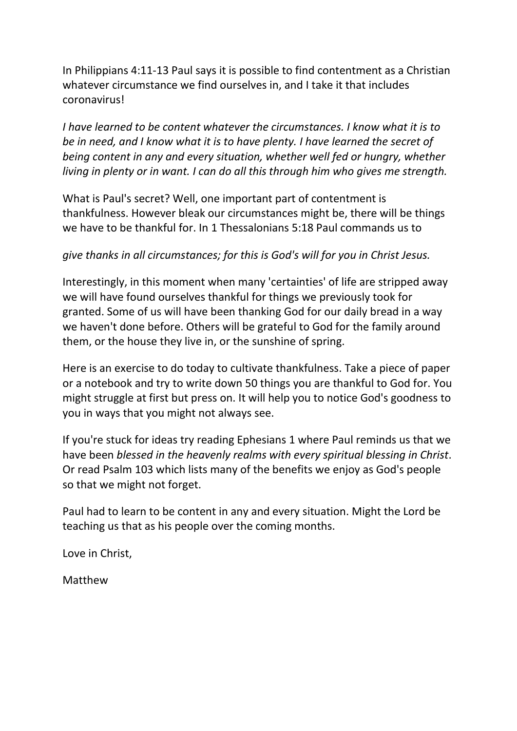In Philippians 4:11-13 Paul says it is possible to find contentment as a Christian whatever circumstance we find ourselves in, and I take it that includes coronavirus!

*I have learned to be content whatever the circumstances. I know what it is to be in need, and I know what it is to have plenty. I have learned the secret of being content in any and every situation, whether well fed or hungry, whether living in plenty or in want. I can do all this through him who gives me strength.*

What is Paul's secret? Well, one important part of contentment is thankfulness. However bleak our circumstances might be, there will be things we have to be thankful for. In 1 Thessalonians 5:18 Paul commands us to

# *give thanks in all circumstances; for this is God's will for you in Christ Jesus.*

Interestingly, in this moment when many 'certainties' of life are stripped away we will have found ourselves thankful for things we previously took for granted. Some of us will have been thanking God for our daily bread in a way we haven't done before. Others will be grateful to God for the family around them, or the house they live in, or the sunshine of spring.

Here is an exercise to do today to cultivate thankfulness. Take a piece of paper or a notebook and try to write down 50 things you are thankful to God for. You might struggle at first but press on. It will help you to notice God's goodness to you in ways that you might not always see.

If you're stuck for ideas try reading Ephesians 1 where Paul reminds us that we have been *blessed in the heavenly realms with every spiritual blessing in Christ*. Or read Psalm 103 which lists many of the benefits we enjoy as God's people so that we might not forget.

Paul had to learn to be content in any and every situation. Might the Lord be teaching us that as his people over the coming months.

Love in Christ,

Matthew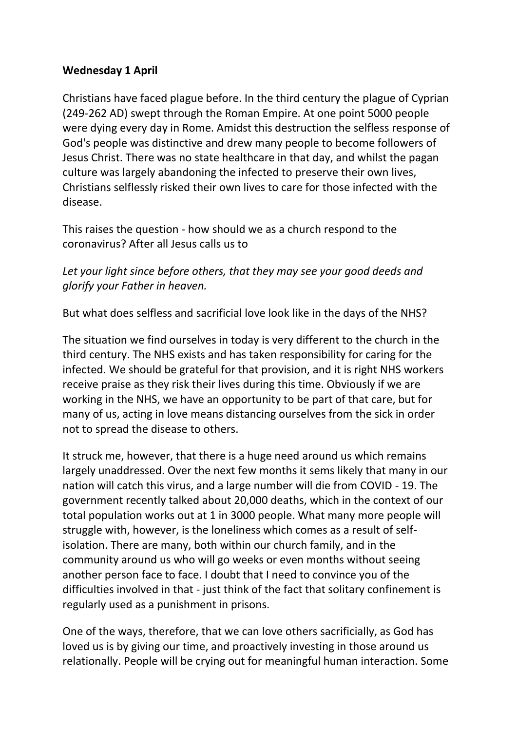# **Wednesday 1 April**

Christians have faced plague before. In the third century the plague of Cyprian (249-262 AD) swept through the Roman Empire. At one point 5000 people were dying every day in Rome. Amidst this destruction the selfless response of God's people was distinctive and drew many people to become followers of Jesus Christ. There was no state healthcare in that day, and whilst the pagan culture was largely abandoning the infected to preserve their own lives, Christians selflessly risked their own lives to care for those infected with the disease.

This raises the question - how should we as a church respond to the coronavirus? After all Jesus calls us to

*Let your light since before others, that they may see your good deeds and glorify your Father in heaven.*

But what does selfless and sacrificial love look like in the days of the NHS?

The situation we find ourselves in today is very different to the church in the third century. The NHS exists and has taken responsibility for caring for the infected. We should be grateful for that provision, and it is right NHS workers receive praise as they risk their lives during this time. Obviously if we are working in the NHS, we have an opportunity to be part of that care, but for many of us, acting in love means distancing ourselves from the sick in order not to spread the disease to others.

It struck me, however, that there is a huge need around us which remains largely unaddressed. Over the next few months it sems likely that many in our nation will catch this virus, and a large number will die from COVID - 19. The government recently talked about 20,000 deaths, which in the context of our total population works out at 1 in 3000 people. What many more people will struggle with, however, is the loneliness which comes as a result of selfisolation. There are many, both within our church family, and in the community around us who will go weeks or even months without seeing another person face to face. I doubt that I need to convince you of the difficulties involved in that - just think of the fact that solitary confinement is regularly used as a punishment in prisons.

One of the ways, therefore, that we can love others sacrificially, as God has loved us is by giving our time, and proactively investing in those around us relationally. People will be crying out for meaningful human interaction. Some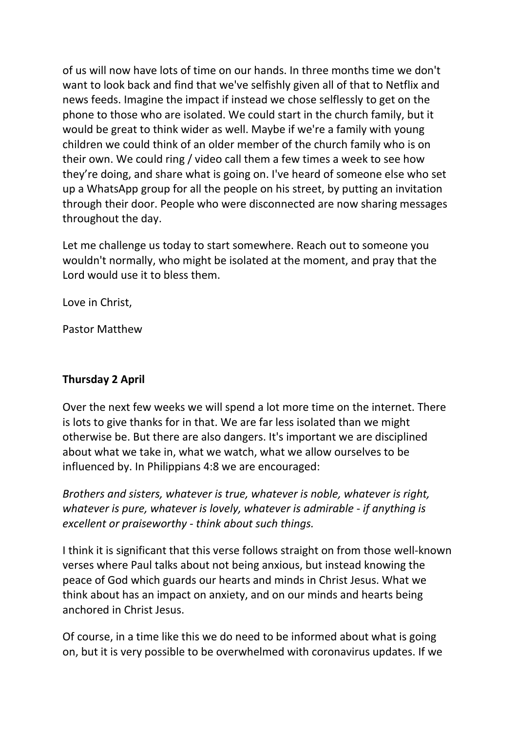of us will now have lots of time on our hands. In three months time we don't want to look back and find that we've selfishly given all of that to Netflix and news feeds. Imagine the impact if instead we chose selflessly to get on the phone to those who are isolated. We could start in the church family, but it would be great to think wider as well. Maybe if we're a family with young children we could think of an older member of the church family who is on their own. We could ring / video call them a few times a week to see how they're doing, and share what is going on. I've heard of someone else who set up a WhatsApp group for all the people on his street, by putting an invitation through their door. People who were disconnected are now sharing messages throughout the day.

Let me challenge us today to start somewhere. Reach out to someone you wouldn't normally, who might be isolated at the moment, and pray that the Lord would use it to bless them.

Love in Christ,

Pastor Matthew

# **Thursday 2 April**

Over the next few weeks we will spend a lot more time on the internet. There is lots to give thanks for in that. We are far less isolated than we might otherwise be. But there are also dangers. It's important we are disciplined about what we take in, what we watch, what we allow ourselves to be influenced by. In Philippians 4:8 we are encouraged:

*Brothers and sisters, whatever is true, whatever is noble, whatever is right, whatever is pure, whatever is lovely, whatever is admirable - if anything is excellent or praiseworthy - think about such things.*

I think it is significant that this verse follows straight on from those well-known verses where Paul talks about not being anxious, but instead knowing the peace of God which guards our hearts and minds in Christ Jesus. What we think about has an impact on anxiety, and on our minds and hearts being anchored in Christ Jesus.

Of course, in a time like this we do need to be informed about what is going on, but it is very possible to be overwhelmed with coronavirus updates. If we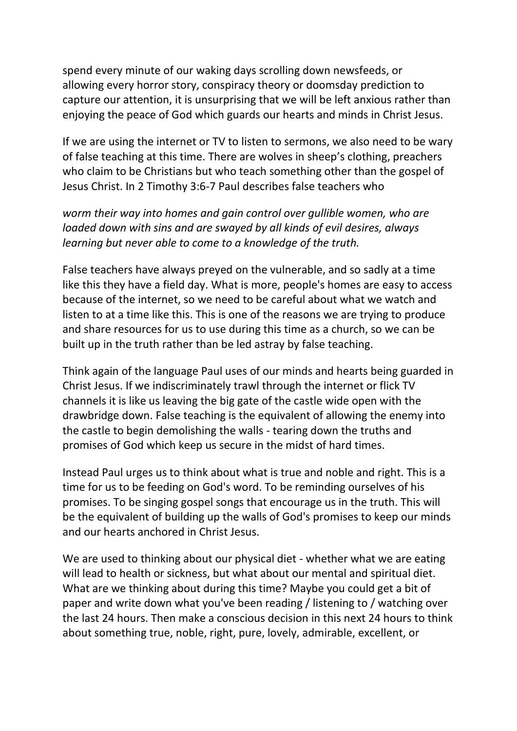spend every minute of our waking days scrolling down newsfeeds, or allowing every horror story, conspiracy theory or doomsday prediction to capture our attention, it is unsurprising that we will be left anxious rather than enjoying the peace of God which guards our hearts and minds in Christ Jesus.

If we are using the internet or TV to listen to sermons, we also need to be wary of false teaching at this time. There are wolves in sheep's clothing, preachers who claim to be Christians but who teach something other than the gospel of Jesus Christ. In 2 Timothy 3:6-7 Paul describes false teachers who

# *worm their way into homes and gain control over gullible women, who are loaded down with sins and are swayed by all kinds of evil desires, always learning but never able to come to a knowledge of the truth.*

False teachers have always preyed on the vulnerable, and so sadly at a time like this they have a field day. What is more, people's homes are easy to access because of the internet, so we need to be careful about what we watch and listen to at a time like this. This is one of the reasons we are trying to produce and share resources for us to use during this time as a church, so we can be built up in the truth rather than be led astray by false teaching.

Think again of the language Paul uses of our minds and hearts being guarded in Christ Jesus. If we indiscriminately trawl through the internet or flick TV channels it is like us leaving the big gate of the castle wide open with the drawbridge down. False teaching is the equivalent of allowing the enemy into the castle to begin demolishing the walls - tearing down the truths and promises of God which keep us secure in the midst of hard times.

Instead Paul urges us to think about what is true and noble and right. This is a time for us to be feeding on God's word. To be reminding ourselves of his promises. To be singing gospel songs that encourage us in the truth. This will be the equivalent of building up the walls of God's promises to keep our minds and our hearts anchored in Christ Jesus.

We are used to thinking about our physical diet - whether what we are eating will lead to health or sickness, but what about our mental and spiritual diet. What are we thinking about during this time? Maybe you could get a bit of paper and write down what you've been reading / listening to / watching over the last 24 hours. Then make a conscious decision in this next 24 hours to think about something true, noble, right, pure, lovely, admirable, excellent, or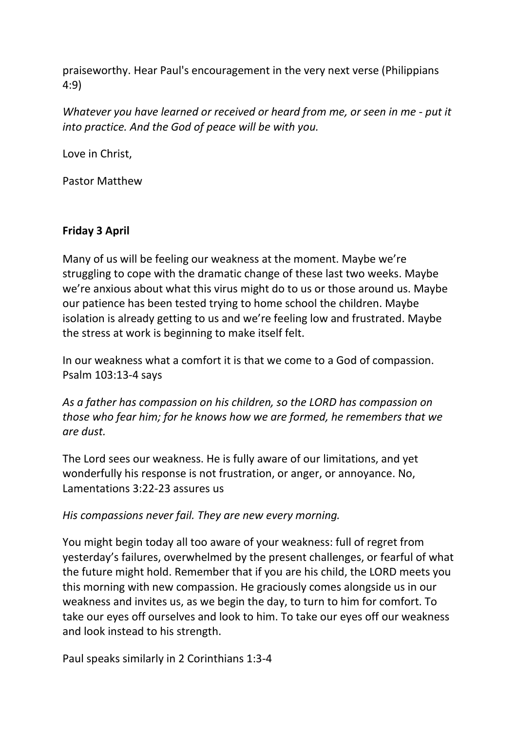praiseworthy. Hear Paul's encouragement in the very next verse (Philippians 4:9)

*Whatever you have learned or received or heard from me, or seen in me - put it into practice. And the God of peace will be with you.*

Love in Christ,

Pastor Matthew

# **Friday 3 April**

Many of us will be feeling our weakness at the moment. Maybe we're struggling to cope with the dramatic change of these last two weeks. Maybe we're anxious about what this virus might do to us or those around us. Maybe our patience has been tested trying to home school the children. Maybe isolation is already getting to us and we're feeling low and frustrated. Maybe the stress at work is beginning to make itself felt.

In our weakness what a comfort it is that we come to a God of compassion. Psalm 103:13-4 says

*As a father has compassion on his children, so the LORD has compassion on those who fear him; for he knows how we are formed, he remembers that we are dust.*

The Lord sees our weakness. He is fully aware of our limitations, and yet wonderfully his response is not frustration, or anger, or annoyance. No, Lamentations 3:22-23 assures us

*His compassions never fail. They are new every morning.*

You might begin today all too aware of your weakness: full of regret from yesterday's failures, overwhelmed by the present challenges, or fearful of what the future might hold. Remember that if you are his child, the LORD meets you this morning with new compassion. He graciously comes alongside us in our weakness and invites us, as we begin the day, to turn to him for comfort. To take our eyes off ourselves and look to him. To take our eyes off our weakness and look instead to his strength.

Paul speaks similarly in 2 Corinthians 1:3-4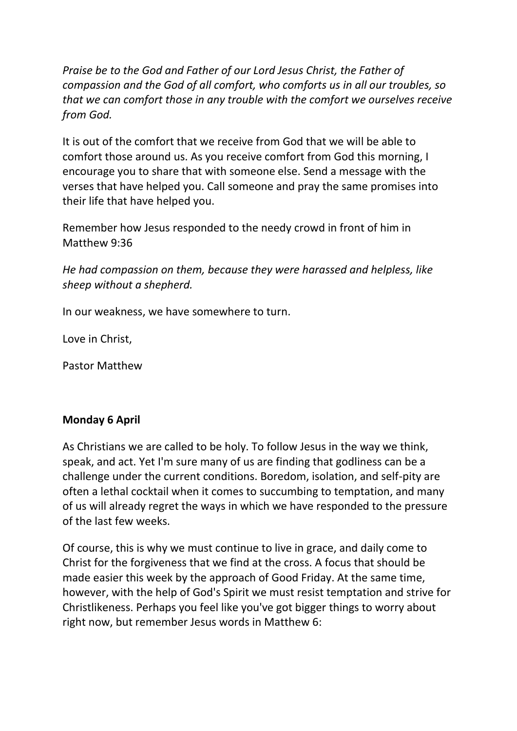*Praise be to the God and Father of our Lord Jesus Christ, the Father of compassion and the God of all comfort, who comforts us in all our troubles, so that we can comfort those in any trouble with the comfort we ourselves receive from God.*

It is out of the comfort that we receive from God that we will be able to comfort those around us. As you receive comfort from God this morning, I encourage you to share that with someone else. Send a message with the verses that have helped you. Call someone and pray the same promises into their life that have helped you.

Remember how Jesus responded to the needy crowd in front of him in Matthew 9:36

*He had compassion on them, because they were harassed and helpless, like sheep without a shepherd.*

In our weakness, we have somewhere to turn.

Love in Christ,

Pastor Matthew

# **Monday 6 April**

As Christians we are called to be holy. To follow Jesus in the way we think, speak, and act. Yet I'm sure many of us are finding that godliness can be a challenge under the current conditions. Boredom, isolation, and self-pity are often a lethal cocktail when it comes to succumbing to temptation, and many of us will already regret the ways in which we have responded to the pressure of the last few weeks.

Of course, this is why we must continue to live in grace, and daily come to Christ for the forgiveness that we find at the cross. A focus that should be made easier this week by the approach of Good Friday. At the same time, however, with the help of God's Spirit we must resist temptation and strive for Christlikeness. Perhaps you feel like you've got bigger things to worry about right now, but remember Jesus words in Matthew 6: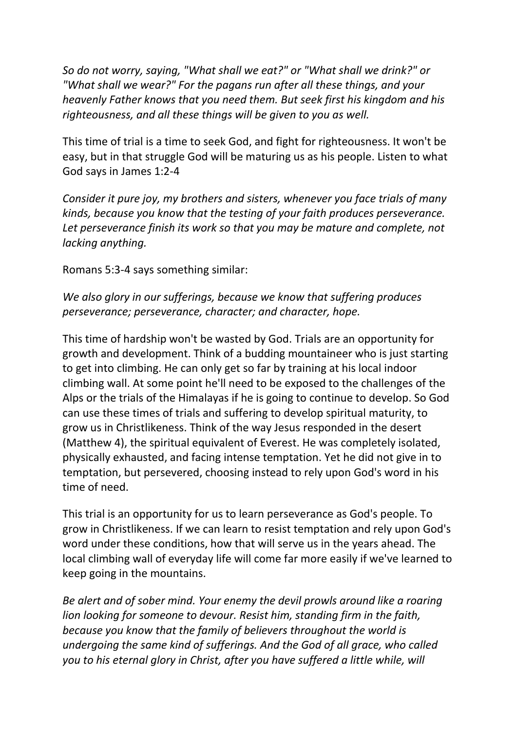*So do not worry, saying, "What shall we eat?" or "What shall we drink?" or "What shall we wear?" For the pagans run after all these things, and your heavenly Father knows that you need them. But seek first his kingdom and his righteousness, and all these things will be given to you as well.*

This time of trial is a time to seek God, and fight for righteousness. It won't be easy, but in that struggle God will be maturing us as his people. Listen to what God says in James 1:2-4

*Consider it pure joy, my brothers and sisters, whenever you face trials of many kinds, because you know that the testing of your faith produces perseverance.*  Let perseverance finish its work so that you may be mature and complete, not *lacking anything.*

Romans 5:3-4 says something similar:

*We also glory in our sufferings, because we know that suffering produces perseverance; perseverance, character; and character, hope.*

This time of hardship won't be wasted by God. Trials are an opportunity for growth and development. Think of a budding mountaineer who is just starting to get into climbing. He can only get so far by training at his local indoor climbing wall. At some point he'll need to be exposed to the challenges of the Alps or the trials of the Himalayas if he is going to continue to develop. So God can use these times of trials and suffering to develop spiritual maturity, to grow us in Christlikeness. Think of the way Jesus responded in the desert (Matthew 4), the spiritual equivalent of Everest. He was completely isolated, physically exhausted, and facing intense temptation. Yet he did not give in to temptation, but persevered, choosing instead to rely upon God's word in his time of need.

This trial is an opportunity for us to learn perseverance as God's people. To grow in Christlikeness. If we can learn to resist temptation and rely upon God's word under these conditions, how that will serve us in the years ahead. The local climbing wall of everyday life will come far more easily if we've learned to keep going in the mountains.

*Be alert and of sober mind. Your enemy the devil prowls around like a roaring lion looking for someone to devour. Resist him, standing firm in the faith, because you know that the family of believers throughout the world is undergoing the same kind of sufferings. And the God of all grace, who called you to his eternal glory in Christ, after you have suffered a little while, will*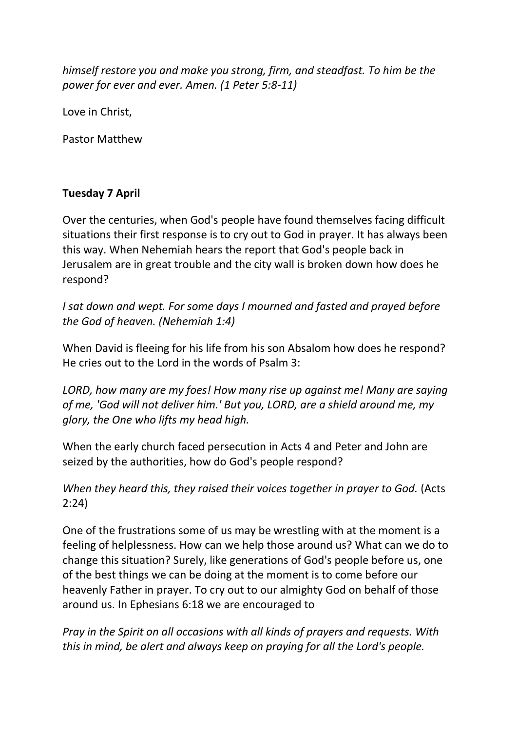*himself restore you and make you strong, firm, and steadfast. To him be the power for ever and ever. Amen. (1 Peter 5:8-11)*

Love in Christ,

Pastor Matthew

# **Tuesday 7 April**

Over the centuries, when God's people have found themselves facing difficult situations their first response is to cry out to God in prayer. It has always been this way. When Nehemiah hears the report that God's people back in Jerusalem are in great trouble and the city wall is broken down how does he respond?

*I sat down and wept. For some days I mourned and fasted and prayed before the God of heaven. (Nehemiah 1:4)*

When David is fleeing for his life from his son Absalom how does he respond? He cries out to the Lord in the words of Psalm 3:

*LORD, how many are my foes! How many rise up against me! Many are saying of me, 'God will not deliver him.' But you, LORD, are a shield around me, my glory, the One who lifts my head high.*

When the early church faced persecution in Acts 4 and Peter and John are seized by the authorities, how do God's people respond?

*When they heard this, they raised their voices together in prayer to God.* (Acts 2:24)

One of the frustrations some of us may be wrestling with at the moment is a feeling of helplessness. How can we help those around us? What can we do to change this situation? Surely, like generations of God's people before us, one of the best things we can be doing at the moment is to come before our heavenly Father in prayer. To cry out to our almighty God on behalf of those around us. In Ephesians 6:18 we are encouraged to

*Pray in the Spirit on all occasions with all kinds of prayers and requests. With this in mind, be alert and always keep on praying for all the Lord's people.*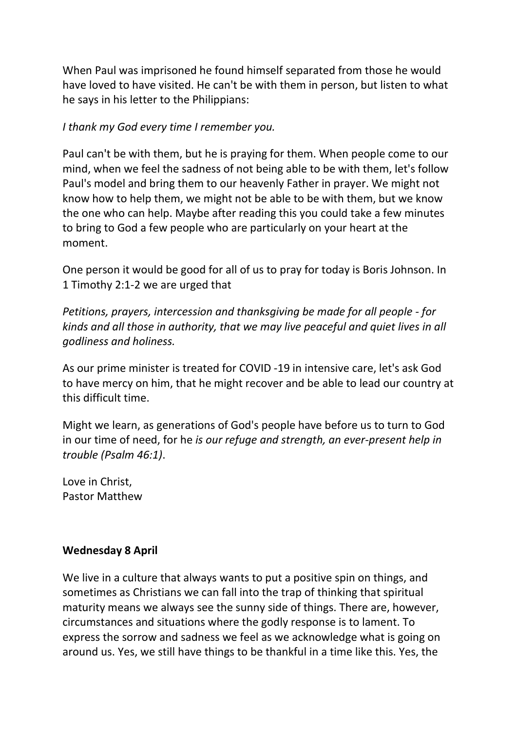When Paul was imprisoned he found himself separated from those he would have loved to have visited. He can't be with them in person, but listen to what he says in his letter to the Philippians:

*I thank my God every time I remember you.*

Paul can't be with them, but he is praying for them. When people come to our mind, when we feel the sadness of not being able to be with them, let's follow Paul's model and bring them to our heavenly Father in prayer. We might not know how to help them, we might not be able to be with them, but we know the one who can help. Maybe after reading this you could take a few minutes to bring to God a few people who are particularly on your heart at the moment.

One person it would be good for all of us to pray for today is Boris Johnson. In 1 Timothy 2:1-2 we are urged that

*Petitions, prayers, intercession and thanksgiving be made for all people - for kinds and all those in authority, that we may live peaceful and quiet lives in all godliness and holiness.*

As our prime minister is treated for COVID -19 in intensive care, let's ask God to have mercy on him, that he might recover and be able to lead our country at this difficult time.

Might we learn, as generations of God's people have before us to turn to God in our time of need, for he *is our refuge and strength, an ever-present help in trouble (Psalm 46:1)*.

Love in Christ, Pastor Matthew

# **Wednesday 8 April**

We live in a culture that always wants to put a positive spin on things, and sometimes as Christians we can fall into the trap of thinking that spiritual maturity means we always see the sunny side of things. There are, however, circumstances and situations where the godly response is to lament. To express the sorrow and sadness we feel as we acknowledge what is going on around us. Yes, we still have things to be thankful in a time like this. Yes, the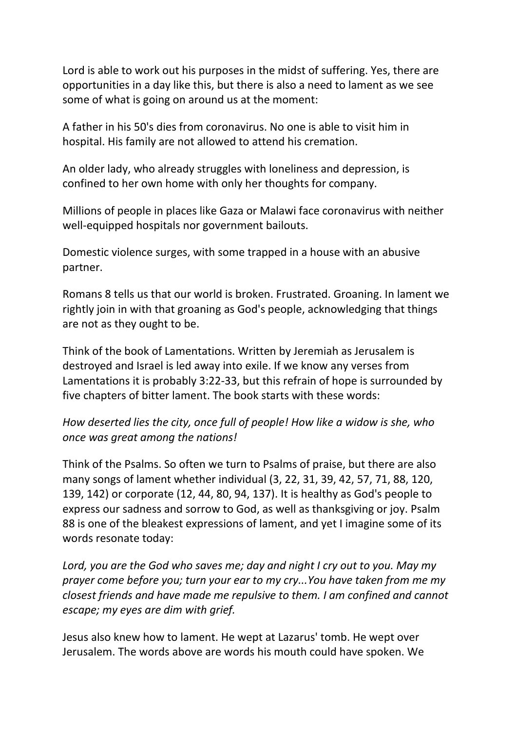Lord is able to work out his purposes in the midst of suffering. Yes, there are opportunities in a day like this, but there is also a need to lament as we see some of what is going on around us at the moment:

A father in his 50's dies from coronavirus. No one is able to visit him in hospital. His family are not allowed to attend his cremation.

An older lady, who already struggles with loneliness and depression, is confined to her own home with only her thoughts for company.

Millions of people in places like Gaza or Malawi face coronavirus with neither well-equipped hospitals nor government bailouts.

Domestic violence surges, with some trapped in a house with an abusive partner.

Romans 8 tells us that our world is broken. Frustrated. Groaning. In lament we rightly join in with that groaning as God's people, acknowledging that things are not as they ought to be.

Think of the book of Lamentations. Written by Jeremiah as Jerusalem is destroyed and Israel is led away into exile. If we know any verses from Lamentations it is probably 3:22-33, but this refrain of hope is surrounded by five chapters of bitter lament. The book starts with these words:

# *How deserted lies the city, once full of people! How like a widow is she, who once was great among the nations!*

Think of the Psalms. So often we turn to Psalms of praise, but there are also many songs of lament whether individual (3, 22, 31, 39, 42, 57, 71, 88, 120, 139, 142) or corporate (12, 44, 80, 94, 137). It is healthy as God's people to express our sadness and sorrow to God, as well as thanksgiving or joy. Psalm 88 is one of the bleakest expressions of lament, and yet I imagine some of its words resonate today:

*Lord, you are the God who saves me; day and night I cry out to you. May my prayer come before you; turn your ear to my cry...You have taken from me my closest friends and have made me repulsive to them. I am confined and cannot escape; my eyes are dim with grief.*

Jesus also knew how to lament. He wept at Lazarus' tomb. He wept over Jerusalem. The words above are words his mouth could have spoken. We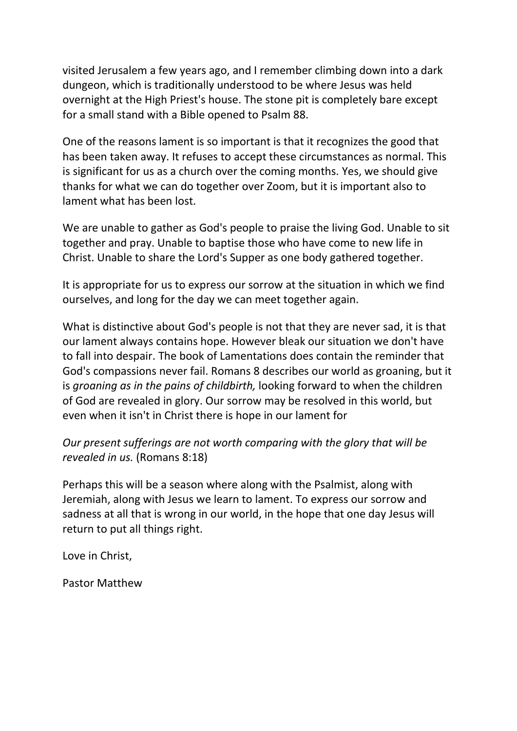visited Jerusalem a few years ago, and I remember climbing down into a dark dungeon, which is traditionally understood to be where Jesus was held overnight at the High Priest's house. The stone pit is completely bare except for a small stand with a Bible opened to Psalm 88.

One of the reasons lament is so important is that it recognizes the good that has been taken away. It refuses to accept these circumstances as normal. This is significant for us as a church over the coming months. Yes, we should give thanks for what we can do together over Zoom, but it is important also to lament what has been lost.

We are unable to gather as God's people to praise the living God. Unable to sit together and pray. Unable to baptise those who have come to new life in Christ. Unable to share the Lord's Supper as one body gathered together.

It is appropriate for us to express our sorrow at the situation in which we find ourselves, and long for the day we can meet together again.

What is distinctive about God's people is not that they are never sad, it is that our lament always contains hope. However bleak our situation we don't have to fall into despair. The book of Lamentations does contain the reminder that God's compassions never fail. Romans 8 describes our world as groaning, but it is *groaning as in the pains of childbirth,* looking forward to when the children of God are revealed in glory. Our sorrow may be resolved in this world, but even when it isn't in Christ there is hope in our lament for

*Our present sufferings are not worth comparing with the glory that will be revealed in us.* (Romans 8:18)

Perhaps this will be a season where along with the Psalmist, along with Jeremiah, along with Jesus we learn to lament. To express our sorrow and sadness at all that is wrong in our world, in the hope that one day Jesus will return to put all things right.

Love in Christ,

Pastor Matthew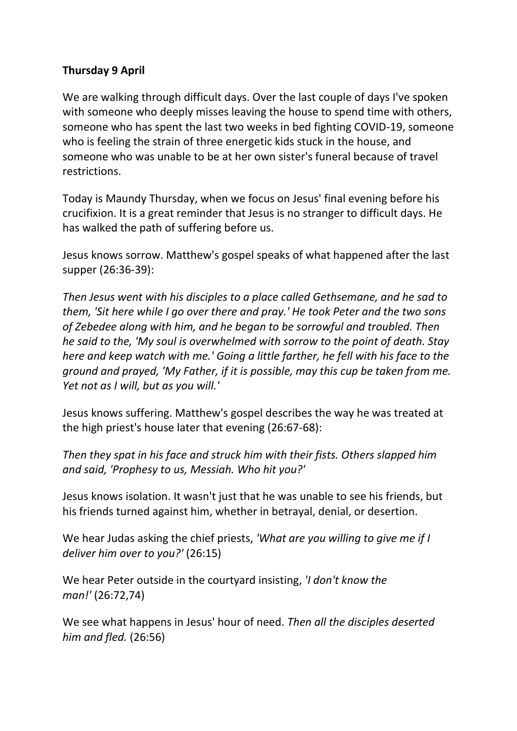# **Thursday 9 April**

We are walking through difficult days. Over the last couple of days I've spoken with someone who deeply misses leaving the house to spend time with others, someone who has spent the last two weeks in bed fighting COVID-19, someone who is feeling the strain of three energetic kids stuck in the house, and someone who was unable to be at her own sister's funeral because of travel restrictions.

Today is Maundy Thursday, when we focus on Jesus' final evening before his crucifixion. It is a great reminder that Jesus is no stranger to difficult days. He has walked the path of suffering before us.

Jesus knows sorrow. Matthew's gospel speaks of what happened after the last supper (26:36-39):

*Then Jesus went with his disciples to a place called Gethsemane, and he sad to them, 'Sit here while I go over there and pray.' He took Peter and the two sons of Zebedee along with him, and he began to be sorrowful and troubled. Then he said to the, 'My soul is overwhelmed with sorrow to the point of death. Stay here and keep watch with me.' Going a little farther, he fell with his face to the ground and prayed, 'My Father, if it is possible, may this cup be taken from me. Yet not as I will, but as you will.'*

Jesus knows suffering. Matthew's gospel describes the way he was treated at the high priest's house later that evening (26:67-68):

*Then they spat in his face and struck him with their fists. Others slapped him and said, 'Prophesy to us, Messiah. Who hit you?'*

Jesus knows isolation. It wasn't just that he was unable to see his friends, but his friends turned against him, whether in betrayal, denial, or desertion.

We hear Judas asking the chief priests, *'What are you willing to give me if I deliver him over to you?'* (26:15)

We hear Peter outside in the courtyard insisting, *'I don't know the man!'* (26:72,74)

We see what happens in Jesus' hour of need. *Then all the disciples deserted him and fled.* (26:56)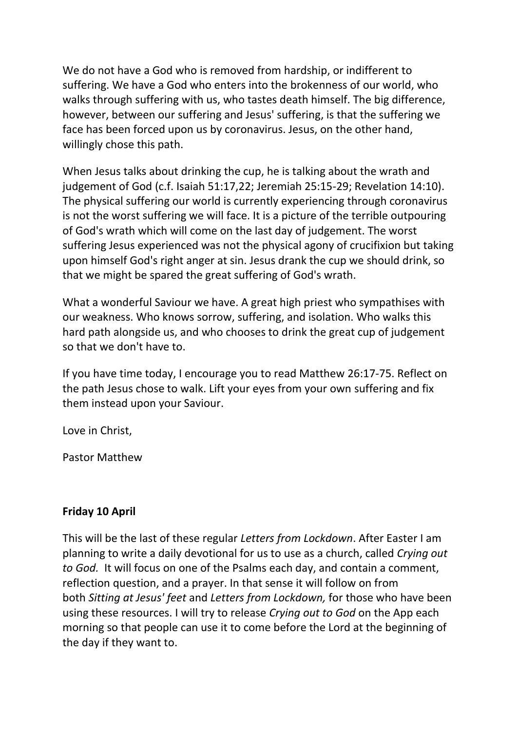We do not have a God who is removed from hardship, or indifferent to suffering. We have a God who enters into the brokenness of our world, who walks through suffering with us, who tastes death himself. The big difference, however, between our suffering and Jesus' suffering, is that the suffering we face has been forced upon us by coronavirus. Jesus, on the other hand, willingly chose this path.

When Jesus talks about drinking the cup, he is talking about the wrath and judgement of God (c.f. Isaiah 51:17,22; Jeremiah 25:15-29; Revelation 14:10). The physical suffering our world is currently experiencing through coronavirus is not the worst suffering we will face. It is a picture of the terrible outpouring of God's wrath which will come on the last day of judgement. The worst suffering Jesus experienced was not the physical agony of crucifixion but taking upon himself God's right anger at sin. Jesus drank the cup we should drink, so that we might be spared the great suffering of God's wrath.

What a wonderful Saviour we have. A great high priest who sympathises with our weakness. Who knows sorrow, suffering, and isolation. Who walks this hard path alongside us, and who chooses to drink the great cup of judgement so that we don't have to.

If you have time today, I encourage you to read Matthew 26:17-75. Reflect on the path Jesus chose to walk. Lift your eyes from your own suffering and fix them instead upon your Saviour.

Love in Christ,

Pastor Matthew

# **Friday 10 April**

This will be the last of these regular *Letters from Lockdown*. After Easter I am planning to write a daily devotional for us to use as a church, called *Crying out to God.* It will focus on one of the Psalms each day, and contain a comment, reflection question, and a prayer. In that sense it will follow on from both *Sitting at Jesus' feet* and *Letters from Lockdown,* for those who have been using these resources. I will try to release *Crying out to God* on the App each morning so that people can use it to come before the Lord at the beginning of the day if they want to.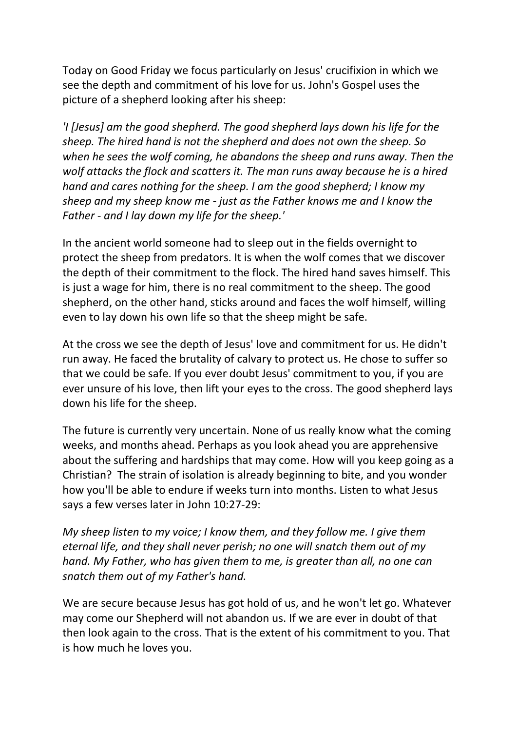Today on Good Friday we focus particularly on Jesus' crucifixion in which we see the depth and commitment of his love for us. John's Gospel uses the picture of a shepherd looking after his sheep:

*'I [Jesus] am the good shepherd. The good shepherd lays down his life for the sheep. The hired hand is not the shepherd and does not own the sheep. So when he sees the wolf coming, he abandons the sheep and runs away. Then the wolf attacks the flock and scatters it. The man runs away because he is a hired hand and cares nothing for the sheep. I am the good shepherd; I know my sheep and my sheep know me - just as the Father knows me and I know the Father - and I lay down my life for the sheep.'*

In the ancient world someone had to sleep out in the fields overnight to protect the sheep from predators. It is when the wolf comes that we discover the depth of their commitment to the flock. The hired hand saves himself. This is just a wage for him, there is no real commitment to the sheep. The good shepherd, on the other hand, sticks around and faces the wolf himself, willing even to lay down his own life so that the sheep might be safe.

At the cross we see the depth of Jesus' love and commitment for us. He didn't run away. He faced the brutality of calvary to protect us. He chose to suffer so that we could be safe. If you ever doubt Jesus' commitment to you, if you are ever unsure of his love, then lift your eyes to the cross. The good shepherd lays down his life for the sheep.

The future is currently very uncertain. None of us really know what the coming weeks, and months ahead. Perhaps as you look ahead you are apprehensive about the suffering and hardships that may come. How will you keep going as a Christian? The strain of isolation is already beginning to bite, and you wonder how you'll be able to endure if weeks turn into months. Listen to what Jesus says a few verses later in John 10:27-29:

*My sheep listen to my voice; I know them, and they follow me. I give them eternal life, and they shall never perish; no one will snatch them out of my hand. My Father, who has given them to me, is greater than all, no one can snatch them out of my Father's hand.*

We are secure because Jesus has got hold of us, and he won't let go. Whatever may come our Shepherd will not abandon us. If we are ever in doubt of that then look again to the cross. That is the extent of his commitment to you. That is how much he loves you.